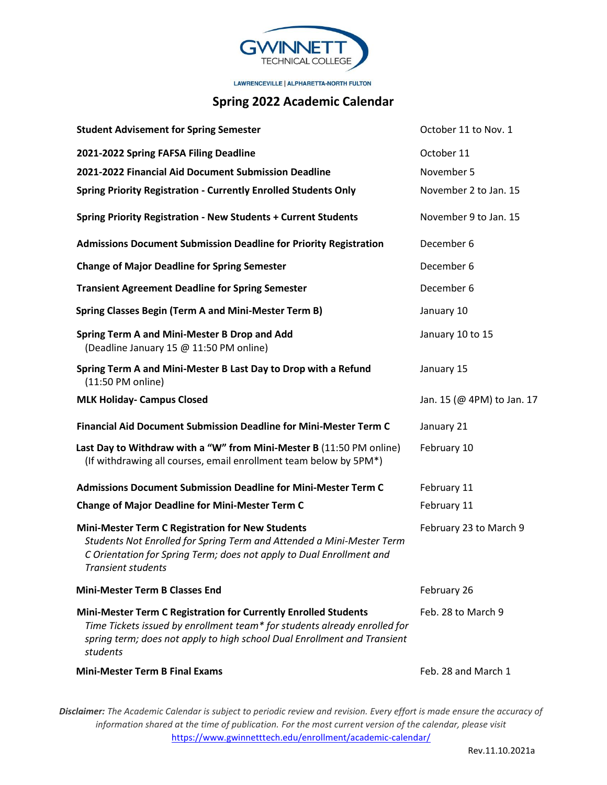

LAWRENCEVILLE | ALPHARETTA-NORTH FULTON

## **Spring 2022 Academic Calendar**

| <b>Student Advisement for Spring Semester</b>                                                                                                                                                                                         | October 11 to Nov. 1       |
|---------------------------------------------------------------------------------------------------------------------------------------------------------------------------------------------------------------------------------------|----------------------------|
| 2021-2022 Spring FAFSA Filing Deadline                                                                                                                                                                                                | October 11                 |
| 2021-2022 Financial Aid Document Submission Deadline                                                                                                                                                                                  | November 5                 |
| <b>Spring Priority Registration - Currently Enrolled Students Only</b>                                                                                                                                                                | November 2 to Jan. 15      |
| Spring Priority Registration - New Students + Current Students                                                                                                                                                                        | November 9 to Jan. 15      |
| <b>Admissions Document Submission Deadline for Priority Registration</b>                                                                                                                                                              | December 6                 |
| <b>Change of Major Deadline for Spring Semester</b>                                                                                                                                                                                   | December 6                 |
| <b>Transient Agreement Deadline for Spring Semester</b>                                                                                                                                                                               | December 6                 |
| <b>Spring Classes Begin (Term A and Mini-Mester Term B)</b>                                                                                                                                                                           | January 10                 |
| Spring Term A and Mini-Mester B Drop and Add<br>(Deadline January 15 @ 11:50 PM online)                                                                                                                                               | January 10 to 15           |
| Spring Term A and Mini-Mester B Last Day to Drop with a Refund<br>(11:50 PM online)                                                                                                                                                   | January 15                 |
| <b>MLK Holiday- Campus Closed</b>                                                                                                                                                                                                     | Jan. 15 (@ 4PM) to Jan. 17 |
| <b>Financial Aid Document Submission Deadline for Mini-Mester Term C</b>                                                                                                                                                              | January 21                 |
| Last Day to Withdraw with a "W" from Mini-Mester B (11:50 PM online)<br>(If withdrawing all courses, email enrollment team below by 5PM*)                                                                                             | February 10                |
| <b>Admissions Document Submission Deadline for Mini-Mester Term C</b>                                                                                                                                                                 | February 11                |
| <b>Change of Major Deadline for Mini-Mester Term C</b>                                                                                                                                                                                | February 11                |
| <b>Mini-Mester Term C Registration for New Students</b><br>Students Not Enrolled for Spring Term and Attended a Mini-Mester Term<br>C Orientation for Spring Term; does not apply to Dual Enrollment and<br><b>Transient students</b> | February 23 to March 9     |
| <b>Mini-Mester Term B Classes End</b>                                                                                                                                                                                                 | February 26                |
| Mini-Mester Term C Registration for Currently Enrolled Students<br>Time Tickets issued by enrollment team* for students already enrolled for<br>spring term; does not apply to high school Dual Enrollment and Transient<br>students  | Feb. 28 to March 9         |
| <b>Mini-Mester Term B Final Exams</b>                                                                                                                                                                                                 | Feb. 28 and March 1        |

*Disclaimer: The Academic Calendar is subject to periodic review and revision. Every effort is made ensure the accuracy of information shared at the time of publication. For the most current version of the calendar, please visit*  <https://www.gwinnetttech.edu/enrollment/academic-calendar/>